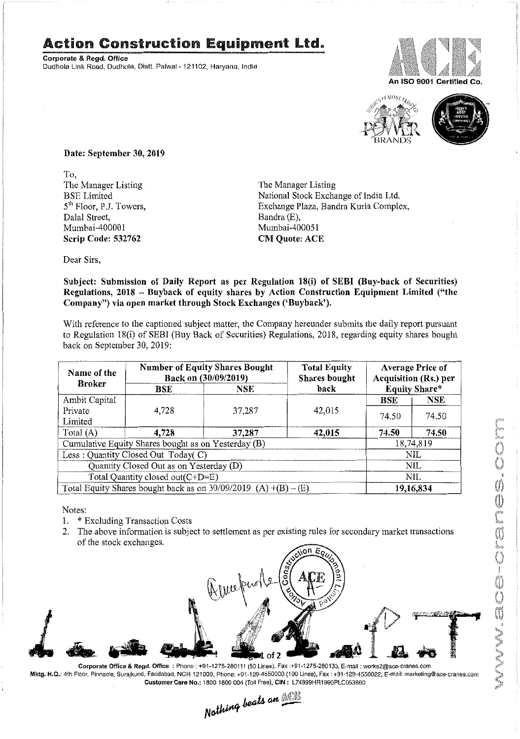## **Action Construction Equipment Ltd.**

Corporate & Regd. Office Dudhola Link Road, Dudhola, Distt. Palwal- 121102, Haryana, India





Date: September 30, 2019

To, The Manager Listing BSE Limited 5<sup>th</sup> Floor, P.J. Towers, Dalal Street, Mumbai-400001 Scrip Code: 532762

The Manager Listing National Stock Exchange of India Ltd. Exchange Plaza, Bandra Kurla Complex, Bandra (E), Mumbai-400051 CM Quote: ACE

Dear Sirs,

Subject: Submission of Daily Report as per Regulation 18(i) of SEBI (Buy-back of Securities) Regulations, 2018 - Buyback of equity shares by Action Construction Equipment Limited ("the Company") via open market through Stock Exchanges ('Buyback').

With reference to the captioned subject matter, the Company hereunder submits the daily report pursuant to Regulation 18(i) of SEBI (Buy Back of Securities) Regulations, 2018, regarding equity shares bought back on September*30,2019:*

| Name of the<br><b>Broker</b>                                      | <b>Number of Equity Shares Bought</b><br>Back on (30/09/2019) |        | <b>Total Equity</b><br><b>Shares</b> bought | <b>Average Price of</b><br><b>Acquisition (Rs.) per</b> |            |  |
|-------------------------------------------------------------------|---------------------------------------------------------------|--------|---------------------------------------------|---------------------------------------------------------|------------|--|
|                                                                   | BSE                                                           | NSE    | back                                        | <b>Equity Share*</b>                                    |            |  |
| Ambit Capital                                                     |                                                               |        |                                             | <b>BSE</b>                                              | <b>NSE</b> |  |
| Private                                                           | 4.728                                                         | 37,287 | 42,015                                      | 74.50                                                   | 74.50      |  |
| Limited                                                           |                                                               |        |                                             |                                                         |            |  |
| Total (A)                                                         | 4.728                                                         | 37,287 | 42,015                                      | 74.50                                                   | 74.50      |  |
| Cumulative Equity Shares bought as on Yesterday (B)               |                                                               |        |                                             |                                                         | 18,74,819  |  |
| Less: Quantity Closed Out Today(C)                                |                                                               |        |                                             | NIL                                                     |            |  |
| Quantity Closed Out as on Yesterday (D)                           |                                                               |        |                                             | NIL                                                     |            |  |
| Total Quantity closed out(C+D=E)                                  |                                                               |        |                                             | NIL.                                                    |            |  |
| Total Equity Shares bought back as on $30/09/2019$ (A) +(B) – (E) |                                                               |        |                                             | 19,16,834                                               |            |  |

Notes:

- 1. \* Excluding Transaction Costs
- 2. The above information is subject to settlement as per existing rules for secondarymarket transactions of the stock exchanges.



Corporate Office & Regd. Office: Phone: +91-1275-280111 (50 Lines). Fax:+91-1275-280133, E-mail: works2@ace·cranes.com Mktg. H.Q.: 4th Floor, Pinnacle, Surajkund, Faridabad, NCR·121009, Phone: +91-129-4550000 (100 Lines), Fax: +91-129-4550022, E-mail: marketing@ace-cranes.com Customer Care No.: 1800 1800 004 (Toll Free), CIN: L74899HR1995PLC053860

, Heing beats an <u>WEB</u>